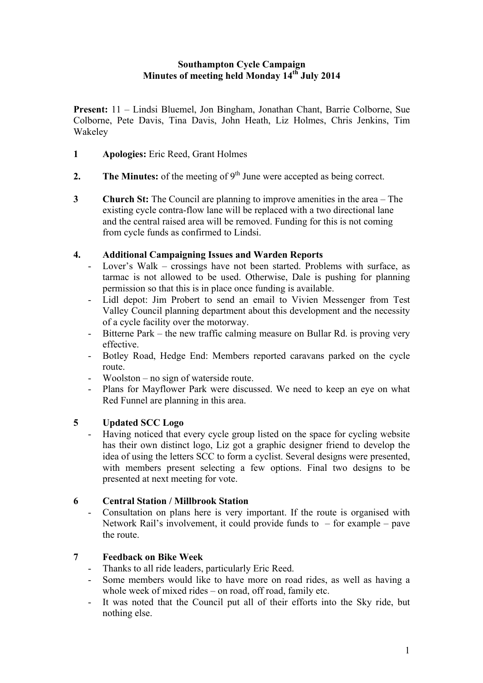### **Southampton Cycle Campaign Minutes of meeting held Monday 14th July 2014**

**Present:** 11 – Lindsi Bluemel, Jon Bingham, Jonathan Chant, Barrie Colborne, Sue Colborne, Pete Davis, Tina Davis, John Heath, Liz Holmes, Chris Jenkins, Tim Wakeley

- **1 Apologies:** Eric Reed, Grant Holmes
- **2.** The Minutes: of the meeting of  $9<sup>th</sup>$  June were accepted as being correct.
- **3 Church St:** The Council are planning to improve amenities in the area The existing cycle contra-flow lane will be replaced with a two directional lane and the central raised area will be removed. Funding for this is not coming from cycle funds as confirmed to Lindsi.

## **4. Additional Campaigning Issues and Warden Reports**

- Lover's Walk crossings have not been started. Problems with surface, as tarmac is not allowed to be used. Otherwise, Dale is pushing for planning permission so that this is in place once funding is available.
- Lidl depot: Jim Probert to send an email to Vivien Messenger from Test Valley Council planning department about this development and the necessity of a cycle facility over the motorway.
- Bitterne Park the new traffic calming measure on Bullar Rd. is proving very effective.
- Botley Road, Hedge End: Members reported caravans parked on the cycle route.
- Woolston no sign of waterside route.
- Plans for Mayflower Park were discussed. We need to keep an eye on what Red Funnel are planning in this area.

### **5 Updated SCC Logo**

- Having noticed that every cycle group listed on the space for cycling website has their own distinct logo, Liz got a graphic designer friend to develop the idea of using the letters SCC to form a cyclist. Several designs were presented, with members present selecting a few options. Final two designs to be presented at next meeting for vote.

### **6 Central Station / Millbrook Station**

- Consultation on plans here is very important. If the route is organised with Network Rail's involvement, it could provide funds to  $-$  for example  $-$  pave the route.

# **7 Feedback on Bike Week**

- Thanks to all ride leaders, particularly Eric Reed.
- Some members would like to have more on road rides, as well as having a whole week of mixed rides – on road, off road, family etc.
- It was noted that the Council put all of their efforts into the Sky ride, but nothing else.